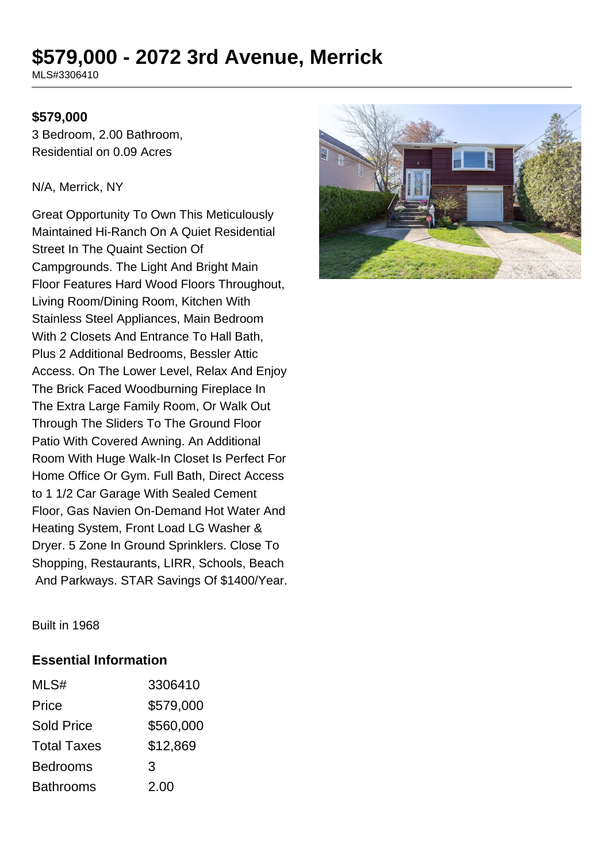# **\$579,000 - 2072 3rd Avenue, Merrick**

MLS#3306410

#### **\$579,000**

3 Bedroom, 2.00 Bathroom, Residential on 0.09 Acres

#### N/A, Merrick, NY

Great Opportunity To Own This Meticulously Maintained Hi-Ranch On A Quiet Residential Street In The Quaint Section Of Campgrounds. The Light And Bright Main Floor Features Hard Wood Floors Throughout, Living Room/Dining Room, Kitchen With Stainless Steel Appliances, Main Bedroom With 2 Closets And Entrance To Hall Bath, Plus 2 Additional Bedrooms, Bessler Attic Access. On The Lower Level, Relax And Enjoy The Brick Faced Woodburning Fireplace In The Extra Large Family Room, Or Walk Out Through The Sliders To The Ground Floor Patio With Covered Awning. An Additional Room With Huge Walk-In Closet Is Perfect For Home Office Or Gym. Full Bath, Direct Access to 1 1/2 Car Garage With Sealed Cement Floor, Gas Navien On-Demand Hot Water And Heating System, Front Load LG Washer & Dryer. 5 Zone In Ground Sprinklers. Close To Shopping, Restaurants, LIRR, Schools, Beach And Parkways. STAR Savings Of \$1400/Year.



Built in 1968

#### **Essential Information**

| MLS#               | 3306410   |
|--------------------|-----------|
| Price              | \$579,000 |
| <b>Sold Price</b>  | \$560,000 |
| <b>Total Taxes</b> | \$12,869  |
| <b>Bedrooms</b>    | 3         |
| <b>Bathrooms</b>   | 2.00      |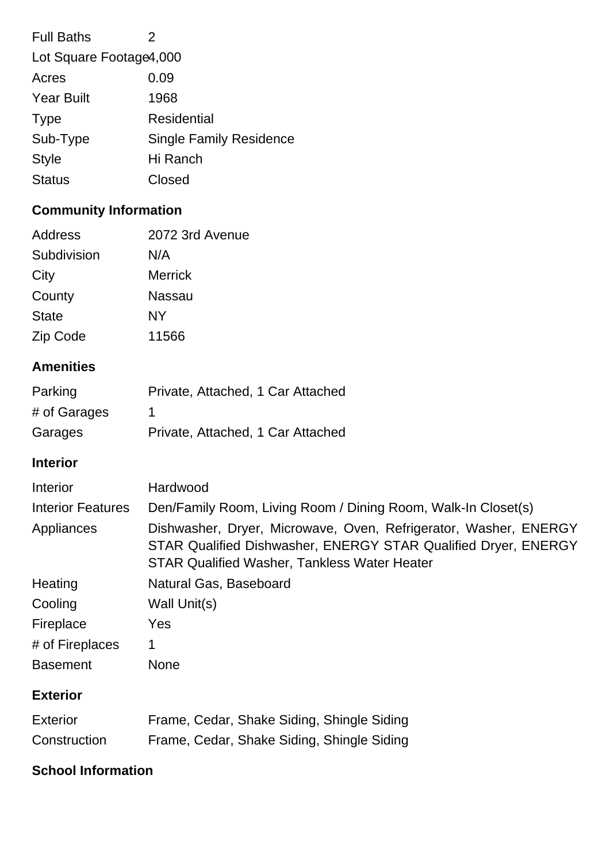| <b>Full Baths</b>       | 2                              |  |
|-------------------------|--------------------------------|--|
| Lot Square Footage4,000 |                                |  |
| Acres                   | 0.09                           |  |
| <b>Year Built</b>       | 1968                           |  |
| <b>Type</b>             | Residential                    |  |
| Sub-Type                | <b>Single Family Residence</b> |  |
| <b>Style</b>            | Hi Ranch                       |  |
| <b>Status</b>           | Closed                         |  |
|                         |                                |  |

## **Community Information**

| Address      | 2072 3rd Avenue |
|--------------|-----------------|
| Subdivision  | N/A             |
| City         | <b>Merrick</b>  |
| County       | Nassau          |
| <b>State</b> | NY              |
| Zip Code     | 11566           |

## **Amenities**

| Parking      | Private, Attached, 1 Car Attached |
|--------------|-----------------------------------|
| # of Garages |                                   |
| Garages      | Private, Attached, 1 Car Attached |

### **Interior**

| Interior                 | Hardwood                                                                                                                                                                                  |
|--------------------------|-------------------------------------------------------------------------------------------------------------------------------------------------------------------------------------------|
| <b>Interior Features</b> | Den/Family Room, Living Room / Dining Room, Walk-In Closet(s)                                                                                                                             |
| Appliances               | Dishwasher, Dryer, Microwave, Oven, Refrigerator, Washer, ENERGY<br>STAR Qualified Dishwasher, ENERGY STAR Qualified Dryer, ENERGY<br><b>STAR Qualified Washer, Tankless Water Heater</b> |
| Heating                  | Natural Gas, Baseboard                                                                                                                                                                    |
| Cooling                  | Wall Unit(s)                                                                                                                                                                              |
| Fireplace                | <b>Yes</b>                                                                                                                                                                                |
| # of Fireplaces          | 1                                                                                                                                                                                         |
| <b>Basement</b>          | <b>None</b>                                                                                                                                                                               |

## **Exterior**

| <b>Exterior</b> |  |  | Frame, Cedar, Shake Siding, Shingle Siding |  |
|-----------------|--|--|--------------------------------------------|--|
| Construction    |  |  | Frame, Cedar, Shake Siding, Shingle Siding |  |

## **School Information**